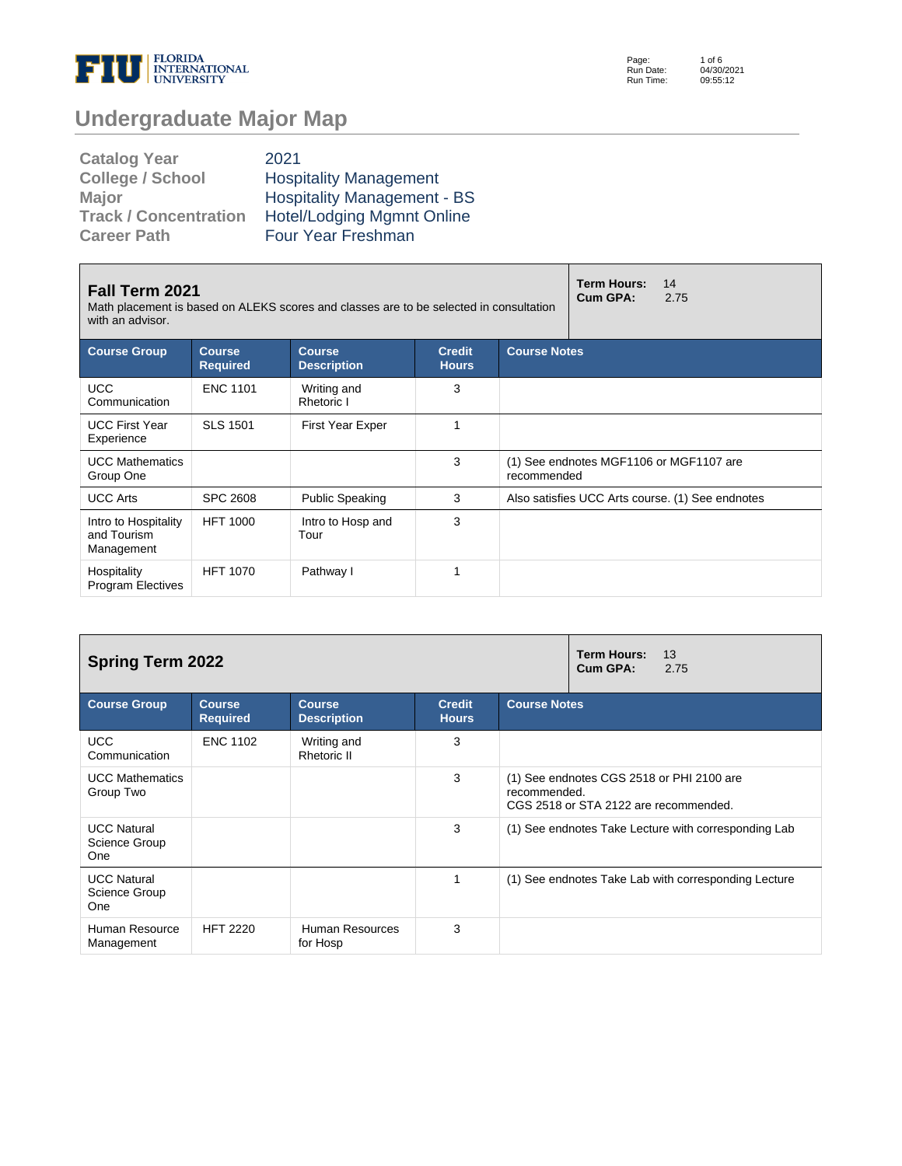

Page: Run Date: Run Time: 1 of 6 04/30/2021 09:55:12

# **Undergraduate Major Map**

| <b>Catalog Year</b>          | 2021                               |
|------------------------------|------------------------------------|
| <b>College / School</b>      | <b>Hospitality Management</b>      |
| <b>Major</b>                 | <b>Hospitality Management - BS</b> |
| <b>Track / Concentration</b> | <b>Hotel/Lodging Mgmnt Online</b>  |
| <b>Career Path</b>           | Four Year Freshman                 |

| <b>Fall Term 2021</b><br>Math placement is based on ALEKS scores and classes are to be selected in consultation<br>with an advisor. |                                  | <b>Term Hours:</b><br>14<br>Cum GPA:<br>2.75 |                               |                     |                                                  |  |
|-------------------------------------------------------------------------------------------------------------------------------------|----------------------------------|----------------------------------------------|-------------------------------|---------------------|--------------------------------------------------|--|
| <b>Course Group</b>                                                                                                                 | <b>Course</b><br><b>Required</b> | <b>Course</b><br><b>Description</b>          | <b>Credit</b><br><b>Hours</b> | <b>Course Notes</b> |                                                  |  |
| <b>UCC</b><br>Communication                                                                                                         | <b>ENC 1101</b>                  | Writing and<br>Rhetoric I                    | 3                             |                     |                                                  |  |
| <b>UCC First Year</b><br>Experience                                                                                                 | <b>SLS 1501</b>                  | <b>First Year Exper</b>                      | 1                             |                     |                                                  |  |
| <b>UCC Mathematics</b><br>Group One                                                                                                 |                                  |                                              | 3                             | recommended         | (1) See endnotes MGF1106 or MGF1107 are          |  |
| <b>UCC Arts</b>                                                                                                                     | <b>SPC 2608</b>                  | <b>Public Speaking</b>                       | 3                             |                     | Also satisfies UCC Arts course. (1) See endnotes |  |
| Intro to Hospitality<br>and Tourism<br>Management                                                                                   | <b>HFT 1000</b>                  | Intro to Hosp and<br>Tour                    | 3                             |                     |                                                  |  |
| Hospitality<br><b>Program Electives</b>                                                                                             | <b>HFT 1070</b>                  | Pathway I                                    | 1                             |                     |                                                  |  |

| <b>Spring Term 2022</b>                    |                                  | <b>Term Hours:</b><br>13<br>Cum GPA:<br>2.75 |                               |                                                                                                    |  |  |
|--------------------------------------------|----------------------------------|----------------------------------------------|-------------------------------|----------------------------------------------------------------------------------------------------|--|--|
| <b>Course Group</b>                        | <b>Course</b><br><b>Required</b> | <b>Course</b><br><b>Description</b>          | <b>Credit</b><br><b>Hours</b> | <b>Course Notes</b>                                                                                |  |  |
| <b>UCC</b><br>Communication                | <b>ENC 1102</b>                  | Writing and<br>Rhetoric II                   | 3                             |                                                                                                    |  |  |
| <b>UCC Mathematics</b><br>Group Two        |                                  |                                              | 3                             | (1) See endnotes CGS 2518 or PHI 2100 are<br>recommended.<br>CGS 2518 or STA 2122 are recommended. |  |  |
| <b>UCC Natural</b><br>Science Group<br>One |                                  |                                              | 3                             | (1) See endnotes Take Lecture with corresponding Lab                                               |  |  |
| <b>UCC Natural</b><br>Science Group<br>One |                                  |                                              | 1                             | (1) See endnotes Take Lab with corresponding Lecture                                               |  |  |
| Human Resource<br>Management               | <b>HFT 2220</b>                  | Human Resources<br>for Hosp                  | 3                             |                                                                                                    |  |  |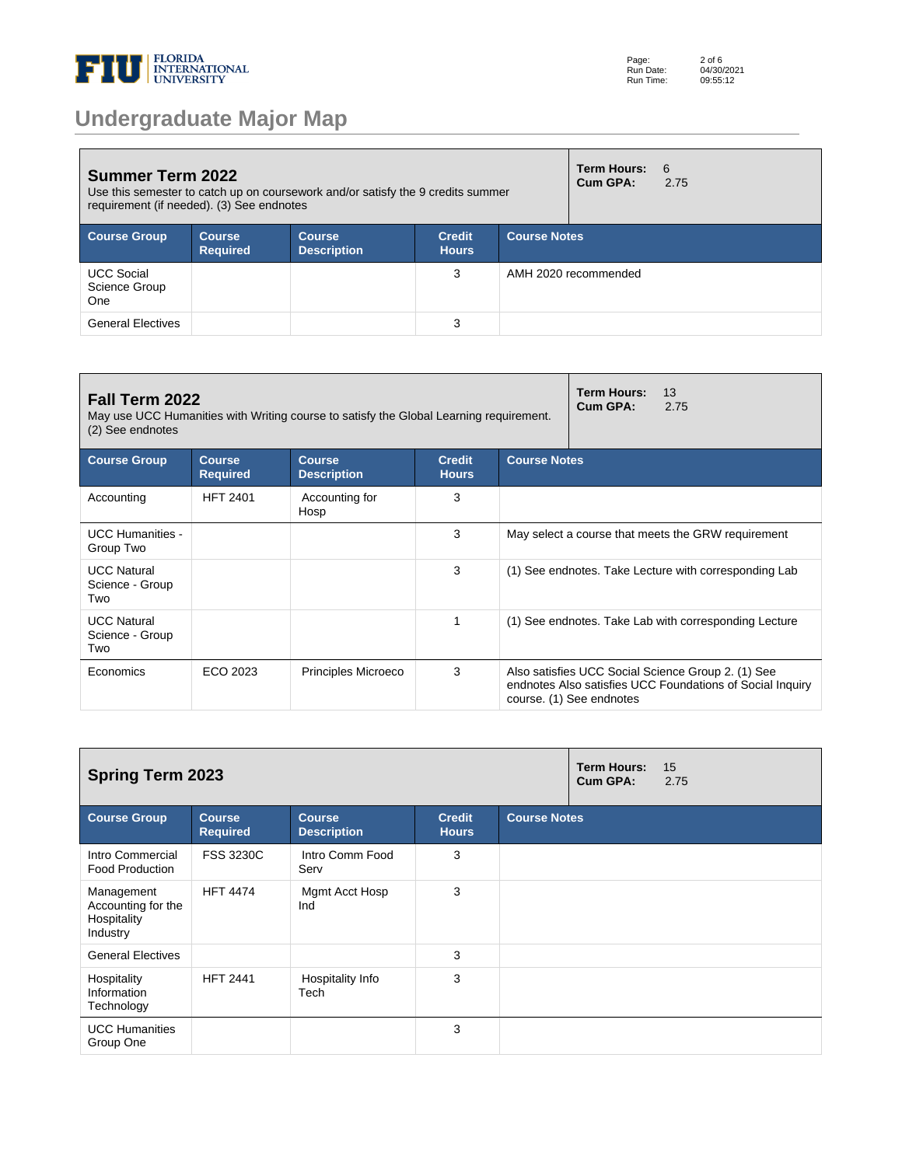

| <b>Summer Term 2022</b><br>Use this semester to catch up on coursework and/or satisfy the 9 credits summer<br>requirement (if needed). (3) See endnotes |                                  |                                     |                               |              | Term Hours:<br>Cum GPA: | - 6<br>2.75 |
|---------------------------------------------------------------------------------------------------------------------------------------------------------|----------------------------------|-------------------------------------|-------------------------------|--------------|-------------------------|-------------|
| <b>Course Group</b>                                                                                                                                     | <b>Course</b><br><b>Required</b> | <b>Course</b><br><b>Description</b> | <b>Credit</b><br><b>Hours</b> | Course Notes |                         |             |
| <b>UCC Social</b><br>Science Group<br>One                                                                                                               |                                  |                                     | 3                             |              | AMH 2020 recommended    |             |
| <b>General Electives</b>                                                                                                                                |                                  |                                     | 3                             |              |                         |             |

| Fall Term 2022<br>May use UCC Humanities with Writing course to satisfy the Global Learning requirement.<br>(2) See endnotes |                           | <b>Term Hours:</b><br>13<br>Cum GPA: | 2.75                          |                                                    |                          |                                                                                                                 |  |
|------------------------------------------------------------------------------------------------------------------------------|---------------------------|--------------------------------------|-------------------------------|----------------------------------------------------|--------------------------|-----------------------------------------------------------------------------------------------------------------|--|
| <b>Course Group</b>                                                                                                          | Course<br><b>Required</b> | Course<br><b>Description</b>         | <b>Credit</b><br><b>Hours</b> | <b>Course Notes</b>                                |                          |                                                                                                                 |  |
| Accounting                                                                                                                   | <b>HFT 2401</b>           | Accounting for<br>Hosp               | 3                             |                                                    |                          |                                                                                                                 |  |
| <b>UCC Humanities -</b><br>Group Two                                                                                         |                           |                                      | 3                             | May select a course that meets the GRW requirement |                          |                                                                                                                 |  |
| <b>UCC Natural</b><br>Science - Group<br>Two                                                                                 |                           |                                      | 3                             |                                                    |                          | (1) See endnotes. Take Lecture with corresponding Lab                                                           |  |
| <b>UCC Natural</b><br>Science - Group<br>Two                                                                                 |                           |                                      | 1                             |                                                    |                          | (1) See endnotes. Take Lab with corresponding Lecture                                                           |  |
| Economics                                                                                                                    | ECO 2023                  | <b>Principles Microeco</b>           | 3                             |                                                    | course. (1) See endnotes | Also satisfies UCC Social Science Group 2. (1) See<br>endnotes Also satisfies UCC Foundations of Social Inquiry |  |

| <b>Spring Term 2023</b>                                     |                                  |                                     |                               |                     |  | 15<br>2.75 |
|-------------------------------------------------------------|----------------------------------|-------------------------------------|-------------------------------|---------------------|--|------------|
| <b>Course Group</b>                                         | <b>Course</b><br><b>Required</b> | <b>Course</b><br><b>Description</b> | <b>Credit</b><br><b>Hours</b> | <b>Course Notes</b> |  |            |
| Intro Commercial<br><b>Food Production</b>                  | <b>FSS 3230C</b>                 | Intro Comm Food<br>Serv             | 3                             |                     |  |            |
| Management<br>Accounting for the<br>Hospitality<br>Industry | <b>HFT 4474</b>                  | Mgmt Acct Hosp<br>Ind               | 3                             |                     |  |            |
| <b>General Electives</b>                                    |                                  |                                     | 3                             |                     |  |            |
| Hospitality<br>Information<br>Technology                    | <b>HFT 2441</b>                  | Hospitality Info<br>Tech            | 3                             |                     |  |            |
| <b>UCC Humanities</b><br>Group One                          |                                  |                                     | 3                             |                     |  |            |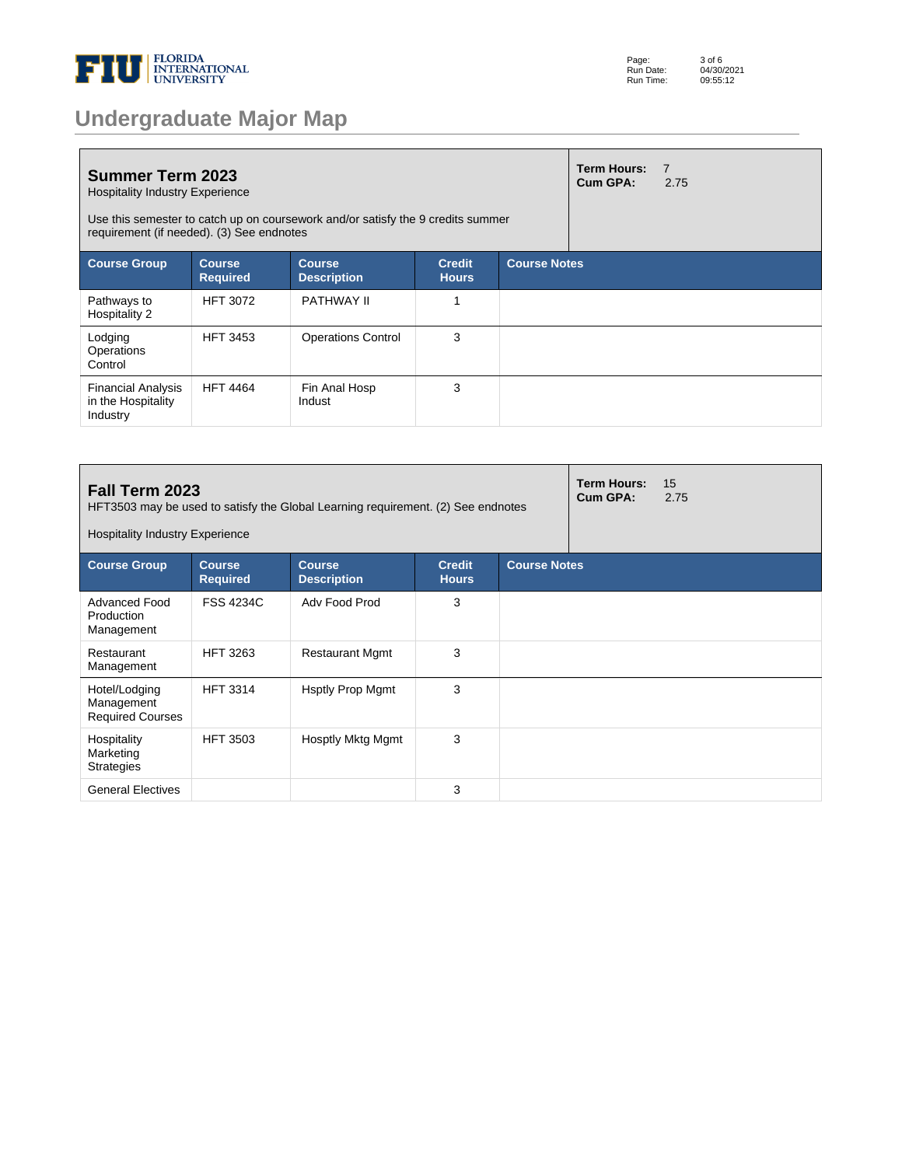

|  |  | <b>Undergraduate Major Map</b> |  |
|--|--|--------------------------------|--|
|  |  |                                |  |

| <b>Summer Term 2023</b><br><b>Hospitality Industry Experience</b><br>Use this semester to catch up on coursework and/or satisfy the 9 credits summer<br>requirement (if needed). (3) See endnotes |                                  |                                     |                               |                     | <b>Term Hours:</b><br>Cum GPA: | $\overline{7}$<br>2.75 |
|---------------------------------------------------------------------------------------------------------------------------------------------------------------------------------------------------|----------------------------------|-------------------------------------|-------------------------------|---------------------|--------------------------------|------------------------|
| <b>Course Group</b>                                                                                                                                                                               | <b>Course</b><br><b>Required</b> | <b>Course</b><br><b>Description</b> | <b>Credit</b><br><b>Hours</b> | <b>Course Notes</b> |                                |                        |
| Pathways to<br>Hospitality 2                                                                                                                                                                      | <b>HFT 3072</b>                  | <b>PATHWAY II</b>                   | 1                             |                     |                                |                        |
| Lodging<br>Operations<br>Control                                                                                                                                                                  | <b>HFT 3453</b>                  | <b>Operations Control</b>           | 3                             |                     |                                |                        |
| <b>Financial Analysis</b><br>in the Hospitality<br>Industry                                                                                                                                       | <b>HFT 4464</b>                  | Fin Anal Hosp<br>Indust             | 3                             |                     |                                |                        |

| Fall Term 2023<br>HFT3503 may be used to satisfy the Global Learning requirement. (2) See endnotes<br><b>Hospitality Industry Experience</b> |                                  |                                     |                               |  |                     | 15<br>2.75 |  |  |
|----------------------------------------------------------------------------------------------------------------------------------------------|----------------------------------|-------------------------------------|-------------------------------|--|---------------------|------------|--|--|
| <b>Course Group</b>                                                                                                                          | <b>Course</b><br><b>Required</b> | <b>Course</b><br><b>Description</b> | <b>Credit</b><br><b>Hours</b> |  | <b>Course Notes</b> |            |  |  |
| Advanced Food<br>Production<br>Management                                                                                                    | <b>FSS 4234C</b>                 | Adv Food Prod                       | 3                             |  |                     |            |  |  |
| Restaurant<br>Management                                                                                                                     | <b>HFT 3263</b>                  | <b>Restaurant Mgmt</b>              | 3                             |  |                     |            |  |  |
| Hotel/Lodging<br>Management<br><b>Required Courses</b>                                                                                       | <b>HFT 3314</b>                  | <b>Hsptly Prop Mgmt</b>             | 3                             |  |                     |            |  |  |
| Hospitality<br>Marketing<br><b>Strategies</b>                                                                                                | <b>HFT 3503</b>                  | Hosptly Mktg Mgmt                   | 3                             |  |                     |            |  |  |
| <b>General Electives</b>                                                                                                                     |                                  |                                     | 3                             |  |                     |            |  |  |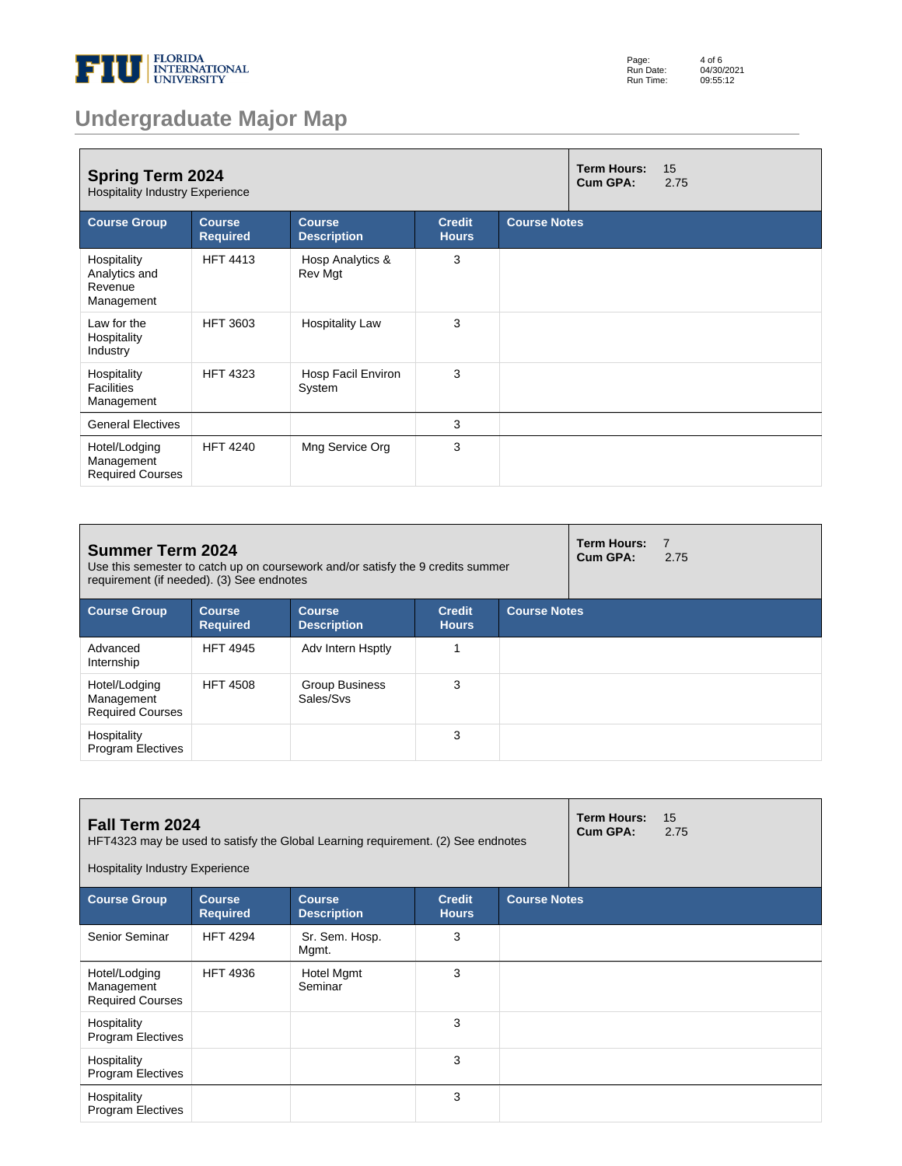

| Page:     | 4 of 6     |
|-----------|------------|
| Run Date: | 04/30/2021 |
| Run Time: | 09:55:12   |

# **Undergraduate Major Map**

| <b>Spring Term 2024</b><br><b>Hospitality Industry Experience</b> |                                  | <b>Term Hours:</b><br>Cum GPA:      | 15<br>2.75                    |                     |  |  |
|-------------------------------------------------------------------|----------------------------------|-------------------------------------|-------------------------------|---------------------|--|--|
| <b>Course Group</b>                                               | <b>Course</b><br><b>Required</b> | <b>Course</b><br><b>Description</b> | <b>Credit</b><br><b>Hours</b> | <b>Course Notes</b> |  |  |
| Hospitality<br>Analytics and<br>Revenue<br>Management             | <b>HFT 4413</b>                  | Hosp Analytics &<br>Rev Mgt         | 3                             |                     |  |  |
| Law for the<br>Hospitality<br>Industry                            | <b>HFT 3603</b>                  | <b>Hospitality Law</b>              | 3                             |                     |  |  |
| Hospitality<br><b>Facilities</b><br>Management                    | <b>HFT 4323</b>                  | Hosp Facil Environ<br>System        | 3                             |                     |  |  |
| <b>General Electives</b>                                          |                                  |                                     | 3                             |                     |  |  |
| Hotel/Lodging<br>Management<br><b>Required Courses</b>            | <b>HFT 4240</b>                  | Mng Service Org                     | 3                             |                     |  |  |

| <b>Summer Term 2024</b><br>Use this semester to catch up on coursework and/or satisfy the 9 credits summer<br>requirement (if needed). (3) See endnotes |                                  |                                     |                               |                     |  | $\overline{7}$<br>2.75 |
|---------------------------------------------------------------------------------------------------------------------------------------------------------|----------------------------------|-------------------------------------|-------------------------------|---------------------|--|------------------------|
| <b>Course Group</b>                                                                                                                                     | <b>Course</b><br><b>Required</b> | <b>Course</b><br><b>Description</b> | <b>Credit</b><br><b>Hours</b> | <b>Course Notes</b> |  |                        |
| Advanced<br>Internship                                                                                                                                  | <b>HFT 4945</b>                  | Adv Intern Hsptly                   |                               |                     |  |                        |
| Hotel/Lodging<br>Management<br><b>Required Courses</b>                                                                                                  | <b>HFT 4508</b>                  | Group Business<br>Sales/Svs         | 3                             |                     |  |                        |
| Hospitality<br><b>Program Electives</b>                                                                                                                 |                                  |                                     | 3                             |                     |  |                        |

| <b>Fall Term 2024</b><br>HFT4323 may be used to satisfy the Global Learning requirement. (2) See endnotes<br><b>Hospitality Industry Experience</b> |                                  |                                     |                               |                     | <b>Term Hours:</b><br>Cum GPA: | 15<br>2.75 |
|-----------------------------------------------------------------------------------------------------------------------------------------------------|----------------------------------|-------------------------------------|-------------------------------|---------------------|--------------------------------|------------|
| <b>Course Group</b>                                                                                                                                 | <b>Course</b><br><b>Required</b> | <b>Course</b><br><b>Description</b> | <b>Credit</b><br><b>Hours</b> | <b>Course Notes</b> |                                |            |
| Senior Seminar                                                                                                                                      | <b>HFT 4294</b>                  | Sr. Sem. Hosp.<br>Mgmt.             | 3                             |                     |                                |            |
| Hotel/Lodging<br>Management<br><b>Required Courses</b>                                                                                              | <b>HFT 4936</b>                  | Hotel Mgmt<br>Seminar               | 3                             |                     |                                |            |
| Hospitality<br><b>Program Electives</b>                                                                                                             |                                  |                                     | 3                             |                     |                                |            |
| Hospitality<br><b>Program Electives</b>                                                                                                             |                                  |                                     | 3                             |                     |                                |            |
| Hospitality<br><b>Program Electives</b>                                                                                                             |                                  |                                     | 3                             |                     |                                |            |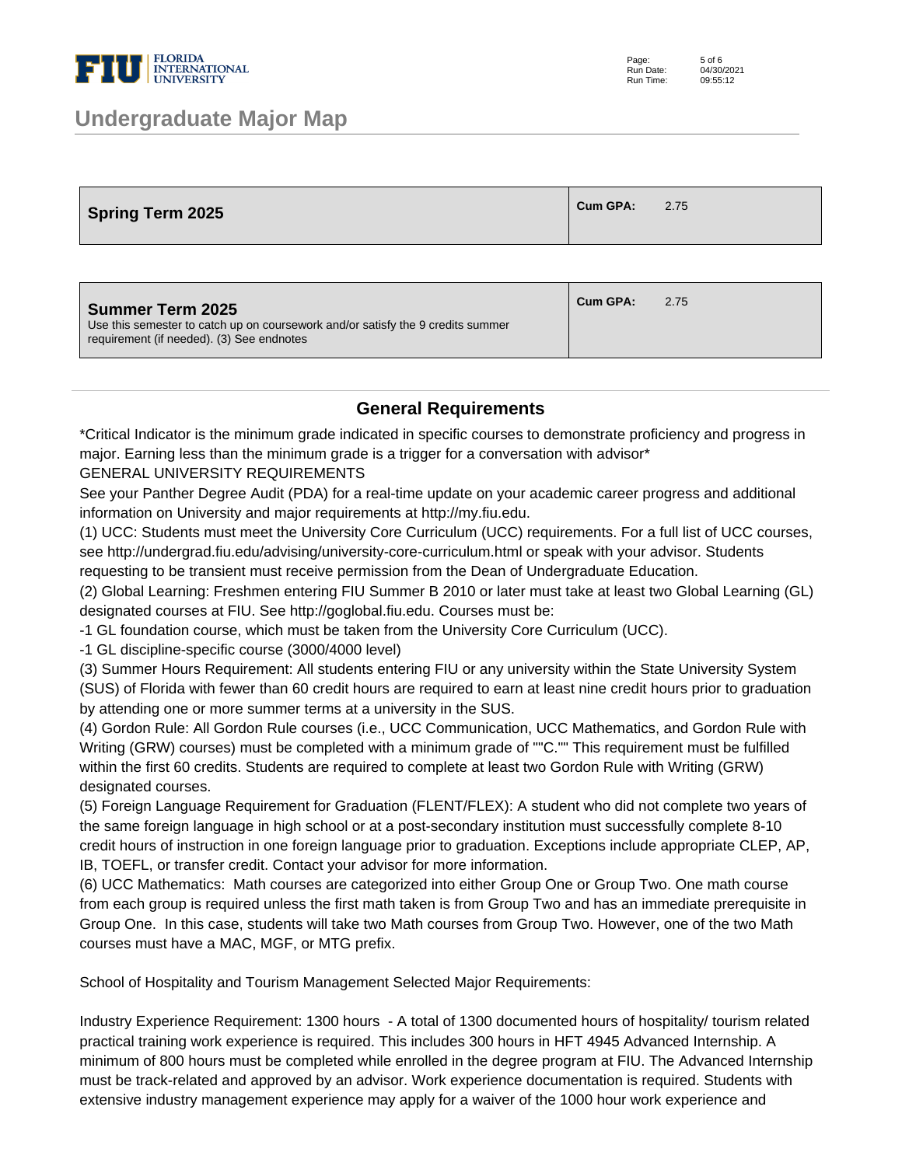

### **Undergraduate Major Map**

| <b>Spring Term 2025</b> | <b>Cum GPA:</b> | 2.75 |
|-------------------------|-----------------|------|
|-------------------------|-----------------|------|

| <b>Summer Term 2025</b><br>Use this semester to catch up on coursework and/or satisfy the 9 credits summer<br>requirement (if needed). (3) See endnotes | Cum GPA: | 2.75 |
|---------------------------------------------------------------------------------------------------------------------------------------------------------|----------|------|
|                                                                                                                                                         |          |      |

#### **General Requirements**

\*Critical Indicator is the minimum grade indicated in specific courses to demonstrate proficiency and progress in major. Earning less than the minimum grade is a trigger for a conversation with advisor\*

GENERAL UNIVERSITY REQUIREMENTS

See your Panther Degree Audit (PDA) for a real-time update on your academic career progress and additional information on University and major requirements at http://my.fiu.edu.

(1) UCC: Students must meet the University Core Curriculum (UCC) requirements. For a full list of UCC courses, see http://undergrad.fiu.edu/advising/university-core-curriculum.html or speak with your advisor. Students requesting to be transient must receive permission from the Dean of Undergraduate Education.

(2) Global Learning: Freshmen entering FIU Summer B 2010 or later must take at least two Global Learning (GL) designated courses at FIU. See http://goglobal.fiu.edu. Courses must be:

- 1 GL foundation course, which must be taken from the University Core Curriculum (UCC).

- 1 GL discipline-specific course (3000/4000 level)

(3) Summer Hours Requirement: All students entering FIU or any university within the State University System (SUS) of Florida with fewer than 60 credit hours are required to earn at least nine credit hours prior to graduation by attending one or more summer terms at a university in the SUS.

(4) Gordon Rule: All Gordon Rule courses (i.e., UCC Communication, UCC Mathematics, and Gordon Rule with Writing (GRW) courses) must be completed with a minimum grade of ""C."" This requirement must be fulfilled within the first 60 credits. Students are required to complete at least two Gordon Rule with Writing (GRW) designated courses.

(5) Foreign Language Requirement for Graduation (FLENT/FLEX): A student who did not complete two years of the same foreign language in high school or at a post-secondary institution must successfully complete 8-10 credit hours of instruction in one foreign language prior to graduation. Exceptions include appropriate CLEP, AP, IB, TOEFL, or transfer credit. Contact your advisor for more information.

(6) UCC Mathematics: Math courses are categorized into either Group One or Group Two. One math course from each group is required unless the first math taken is from Group Two and has an immediate prerequisite in Group One. In this case, students will take two Math courses from Group Two. However, one of the two Math courses must have a MAC, MGF, or MTG prefix.

School of Hospitality and Tourism Management Selected Major Requirements:

Industry Experience Requirement: 1300 hours - A total of 1300 documented hours of hospitality/ tourism related practical training work experience is required. This includes 300 hours in HFT 4945 Advanced Internship. A minimum of 800 hours must be completed while enrolled in the degree program at FIU. The Advanced Internship must be track-related and approved by an advisor. Work experience documentation is required. Students with extensive industry management experience may apply for a waiver of the 1000 hour work experience and